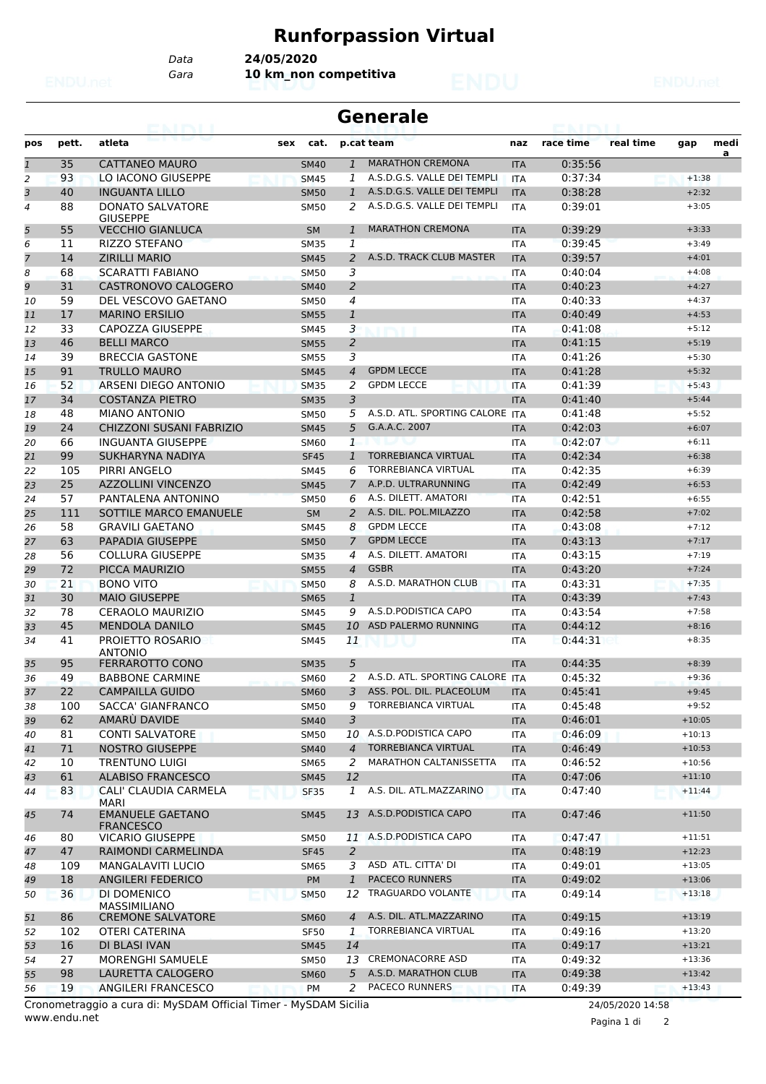## **Runforpassion Virtual**

*Data* **24/05/2020**

*Gara* **10 km\_non competitiva**

| Generale |  |
|----------|--|
|----------|--|

| pos            | pett. | atleta                                      | cat.<br>sex |                | p.cat team                      | naz        | race time | real time | gap      | medi<br>a |
|----------------|-------|---------------------------------------------|-------------|----------------|---------------------------------|------------|-----------|-----------|----------|-----------|
| $\mathbf{1}$   | 35    | <b>CATTANEO MAURO</b>                       | <b>SM40</b> | $\mathbf{1}$   | <b>MARATHON CREMONA</b>         | <b>ITA</b> | 0:35:56   |           |          |           |
| $\overline{2}$ | 93    | LO IACONO GIUSEPPE                          | <b>SM45</b> | 1              | A.S.D.G.S. VALLE DEI TEMPLI     | <b>ITA</b> | 0:37:34   |           | $+1:38$  |           |
| 3              | 40    | <b>INGUANTA LILLO</b>                       | <b>SM50</b> | $\mathbf{1}$   | A.S.D.G.S. VALLE DEI TEMPLI     | <b>ITA</b> | 0:38:28   |           | $+2:32$  |           |
| 4              | 88    | <b>DONATO SALVATORE</b><br><b>GIUSEPPE</b>  | <b>SM50</b> | 2              | A.S.D.G.S. VALLE DEI TEMPLI     | <b>ITA</b> | 0:39:01   |           | $+3:05$  |           |
| 5              | 55    | <b>VECCHIO GIANLUCA</b>                     | <b>SM</b>   | $\mathbf{1}$   | <b>MARATHON CREMONA</b>         | <b>ITA</b> | 0:39:29   |           | $+3:33$  |           |
| 6              | 11    | <b>RIZZO STEFANO</b>                        | <b>SM35</b> | 1              |                                 | <b>ITA</b> | 0:39:45   |           | $+3:49$  |           |
| 7              | 14    | <b>ZIRILLI MARIO</b>                        | <b>SM45</b> | 2              | A.S.D. TRACK CLUB MASTER        | <b>ITA</b> | 0:39:57   |           | $+4:01$  |           |
| 8              | 68    | <b>SCARATTI FABIANO</b>                     | <b>SM50</b> | 3              |                                 | <b>ITA</b> | 0:40:04   |           | $+4:08$  |           |
| 9              | 31    | CASTRONOVO CALOGERO                         | <b>SM40</b> | 2              |                                 | <b>ITA</b> | 0:40:23   |           | $+4:27$  |           |
| 10             | 59    | DEL VESCOVO GAETANO                         | SM50        | $\overline{4}$ |                                 | <b>ITA</b> | 0:40:33   |           | $+4:37$  |           |
| 11             | 17    | <b>MARINO ERSILIO</b>                       | <b>SM55</b> | $\mathbf{1}$   |                                 | <b>ITA</b> | 0:40:49   |           | $+4:53$  |           |
| 12             | 33    | CAPOZZA GIUSEPPE                            | <b>SM45</b> | 3              |                                 | <b>ITA</b> | 0:41:08   |           | $+5:12$  |           |
| 13             | 46    | <b>BELLI MARCO</b>                          | <b>SM55</b> | $\overline{2}$ |                                 | <b>ITA</b> | 0:41:15   |           | $+5:19$  |           |
| 14             | 39    | <b>BRECCIA GASTONE</b>                      | <b>SM55</b> | 3              |                                 | <b>ITA</b> | 0:41:26   |           | $+5:30$  |           |
| 15             | 91    | <b>TRULLO MAURO</b>                         | <b>SM45</b> | 4              | <b>GPDM LECCE</b>               | <b>ITA</b> | 0:41:28   |           | $+5:32$  |           |
| 16             | 52    | ARSENI DIEGO ANTONIO                        | <b>SM35</b> | 2              | <b>GPDM LECCE</b>               | <b>ITA</b> | 0:41:39   |           | $+5:43$  |           |
| 17             | 34    | <b>COSTANZA PIETRO</b>                      | <b>SM35</b> | 3              |                                 | <b>ITA</b> | 0:41:40   |           | $+5:44$  |           |
| 18             | 48    | <b>MIANO ANTONIO</b>                        | <b>SM50</b> | 5              | A.S.D. ATL. SPORTING CALORE ITA |            | 0:41:48   |           | $+5:52$  |           |
| 19             | 24    | CHIZZONI SUSANI FABRIZIO                    | <b>SM45</b> | 5              | G.A.A.C. 2007                   | <b>ITA</b> | 0:42:03   |           | $+6:07$  |           |
| 20             | 66    | <b>INGUANTA GIUSEPPE</b>                    | <b>SM60</b> | $\mathbf{1}$   |                                 | <b>ITA</b> | 0:42:07   |           | $+6:11$  |           |
| 21             | 99    | SUKHARYNA NADIYA                            | <b>SF45</b> | 1              | <b>TORREBIANCA VIRTUAL</b>      | <b>ITA</b> | 0:42:34   |           | $+6:38$  |           |
| 22             | 105   | <b>PIRRI ANGELO</b>                         | SM45        | 6              | <b>TORREBIANCA VIRTUAL</b>      | <b>ITA</b> | 0:42:35   |           | $+6:39$  |           |
| 23             | 25    | <b>AZZOLLINI VINCENZO</b>                   | <b>SM45</b> | $\overline{7}$ | A.P.D. ULTRARUNNING             | <b>ITA</b> | 0:42:49   |           | $+6:53$  |           |
| 24             | 57    | PANTALENA ANTONINO                          | <b>SM50</b> | 6              | A.S. DILETT. AMATORI            | <b>ITA</b> | 0:42:51   |           | $+6:55$  |           |
| 25             | 111   | SOTTILE MARCO EMANUELE                      | <b>SM</b>   | $\overline{a}$ | A.S. DIL. POL.MILAZZO           | <b>ITA</b> | 0:42:58   |           | $+7:02$  |           |
| 26             | 58    | <b>GRAVILI GAETANO</b>                      | <b>SM45</b> | 8              | <b>GPDM LECCE</b>               | <b>ITA</b> | 0:43:08   |           | $+7:12$  |           |
| 27             | 63    | <b>PAPADIA GIUSEPPE</b>                     | <b>SM50</b> | 7              | <b>GPDM LECCE</b>               | <b>ITA</b> | 0:43:13   |           | $+7:17$  |           |
| 28             | 56    | <b>COLLURA GIUSEPPE</b>                     | <b>SM35</b> | 4              | A.S. DILETT. AMATORI            | <b>ITA</b> | 0:43:15   |           | $+7:19$  |           |
| 29             | 72    | PICCA MAURIZIO                              | <b>SM55</b> | 4              | <b>GSBR</b>                     | <b>ITA</b> | 0:43:20   |           | $+7:24$  |           |
| 30             | 21    | <b>BONO VITO</b>                            | <b>SM50</b> | 8              | A.S.D. MARATHON CLUB            | <b>ITA</b> | 0:43:31   |           | $+7:35$  |           |
| 31             | 30    | <b>MAIO GIUSEPPE</b>                        | <b>SM65</b> | $\mathbf{1}$   |                                 | <b>ITA</b> | 0:43:39   |           | $+7:43$  |           |
| 32             | 78    | <b>CERAOLO MAURIZIO</b>                     | <b>SM45</b> | 9              | A.S.D.PODISTICA CAPO            | <b>ITA</b> | 0:43:54   |           | $+7:58$  |           |
| 33             | 45    | <b>MENDOLA DANILO</b>                       | <b>SM45</b> | 10             | ASD PALERMO RUNNING             | <b>ITA</b> | 0:44:12   |           | $+8:16$  |           |
| 34             | 41    | PROJETTO ROSARIO<br><b>ANTONIO</b>          | SM45        | 11             |                                 | <b>ITA</b> | 0:44:31   |           | $+8:35$  |           |
| 35             | 95    | FERRAROTTO CONO                             | <b>SM35</b> | 5              |                                 | <b>ITA</b> | 0:44:35   |           | $+8:39$  |           |
| 36             | 49    | <b>BABBONE CARMINE</b>                      | SM60        | 2              | A.S.D. ATL. SPORTING CALORE ITA |            | 0:45:32   |           | $+9:36$  |           |
| 37             | 22    | <b>CAMPAILLA GUIDO</b>                      | <b>SM60</b> | 3              | ASS. POL. DIL. PLACEOLUM        | <b>ITA</b> | 0:45:41   |           | $+9:45$  |           |
| 38             | 100   | <b>SACCA' GIANFRANCO</b>                    | <b>SM50</b> | 9              | <b>TORREBIANCA VIRTUAL</b>      | <b>ITA</b> | 0:45:48   |           | $+9:52$  |           |
| 39             | 62    | AMARU DAVIDE                                | <b>SM40</b> | 3              |                                 | <b>ITA</b> | 0:46:01   |           | $+10:05$ |           |
| 40             | 81    | <b>CONTI SALVATORE</b>                      | <b>SM50</b> | 10             | A.S.D.PODISTICA CAPO            | ITA        | 0:46:09   |           | $+10:13$ |           |
| 41             | 71    | <b>NOSTRO GIUSEPPE</b>                      | <b>SM40</b> | $\overline{4}$ | <b>TORREBIANCA VIRTUAL</b>      | <b>ITA</b> | 0:46:49   |           | $+10:53$ |           |
| 42             | 10    | <b>TRENTUNO LUIGI</b>                       | SM65        | 2              | MARATHON CALTANISSETTA          | <b>ITA</b> | 0:46:52   |           | $+10:56$ |           |
| 43             | 61    | <b>ALABISO FRANCESCO</b>                    | <b>SM45</b> | 12             |                                 | <b>ITA</b> | 0:47:06   |           | $+11:10$ |           |
| 44             | 83    | CALI' CLAUDIA CARMELA<br><b>MARI</b>        | <b>SF35</b> | $\mathbf{1}$   | A.S. DIL. ATL.MAZZARINO         | <b>ITA</b> | 0:47:40   |           | $+11:44$ |           |
| 45             | 74    | <b>EMANUELE GAETANO</b><br><b>FRANCESCO</b> | <b>SM45</b> | 13             | A.S.D.PODISTICA CAPO            | <b>ITA</b> | 0:47:46   |           | $+11:50$ |           |
| 46             | 80    | <b>VICARIO GIUSEPPE</b>                     | SM50        |                | 11 A.S.D. PODISTICA CAPO        | ITA        | 0:47:47   |           | $+11:51$ |           |
| 47             | 47    | RAIMONDI CARMELINDA                         | <b>SF45</b> | 2              |                                 | <b>ITA</b> | 0:48:19   |           | $+12:23$ |           |
| 48             | 109   | <b>MANGALAVITI LUCIO</b>                    | <b>SM65</b> | 3              | ASD ATL. CITTA' DI              | <b>ITA</b> | 0:49:01   |           | $+13:05$ |           |
| 49             | 18    | <b>ANGILERI FEDERICO</b>                    | PM          | $\mathbf{1}$   | <b>PACECO RUNNERS</b>           | <b>ITA</b> | 0:49:02   |           | $+13:06$ |           |
| 50             | 36    | DI DOMENICO<br><b>MASSIMILIANO</b>          | <b>SM50</b> | 12             | TRAGUARDO VOLANTE               | <b>ITA</b> | 0:49:14   |           | $+13:18$ |           |
| 51             | 86    | <b>CREMONE SALVATORE</b>                    | <b>SM60</b> | $\overline{4}$ | A.S. DIL. ATL.MAZZARINO         | <b>ITA</b> | 0:49:15   |           | $+13:19$ |           |
| 52             | 102   | OTERI CATERINA                              | SF50        | 1              | <b>TORREBIANCA VIRTUAL</b>      | ITA        | 0:49:16   |           | $+13:20$ |           |
| 53             | 16    | DI BLASI IVAN                               | <b>SM45</b> | 14             |                                 | <b>ITA</b> | 0:49:17   |           | $+13:21$ |           |
| 54             | 27    | <b>MORENGHI SAMUELE</b>                     | SM50        | 13             | <b>CREMONACORRE ASD</b>         | <b>ITA</b> | 0:49:32   |           | $+13:36$ |           |
| 55             | 98    | LAURETTA CALOGERO                           | <b>SM60</b> | 5              | A.S.D. MARATHON CLUB            | <b>ITA</b> | 0:49:38   |           | $+13:42$ |           |
| 56             | 19    | ANGILERI FRANCESCO                          | PM          | 2              | <b>PACECO RUNNERS</b>           | <b>ITA</b> | 0:49:39   |           | $+13:43$ |           |

www.endu.net Cronometraggio a cura di: MySDAM Official Timer - MySDAM Sicilia 24/05/2020 14:58

Pagina 1 di 2